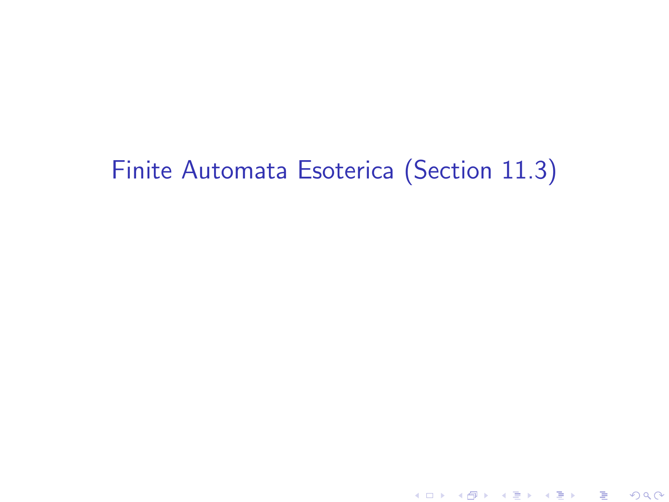# Finite Automata Esoterica (Section 11.3)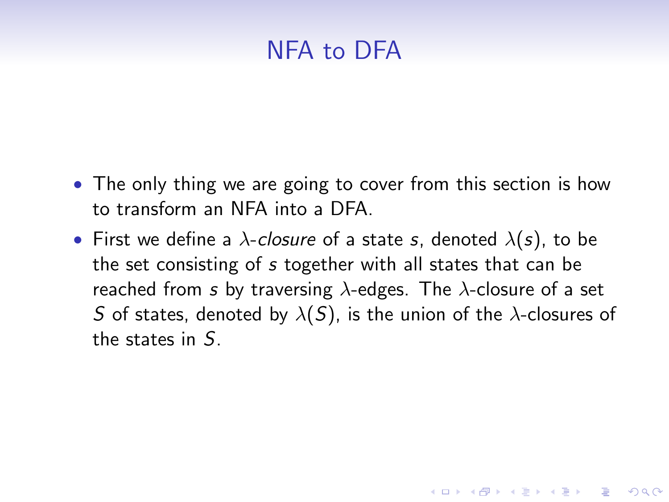## NFA to DFA

- The only thing we are going to cover from this section is how to transform an NFA into a DFA.
- First we define a  $\lambda$ -closure of a state s, denoted  $\lambda(s)$ , to be the set consisting of s together with all states that can be reached from s by traversing  $\lambda$ -edges. The  $\lambda$ -closure of a set S of states, denoted by  $\lambda(S)$ , is the union of the  $\lambda$ -closures of the states in S.

**KORK ERKER ADE YOUR**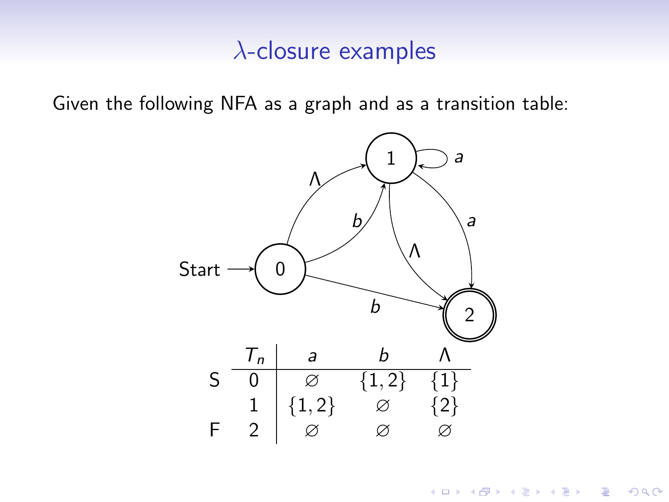#### $\lambda$ -closure examples

Given the following NFA as a graph and as a transition table:



K ロ > K @ > K 할 > K 할 > 1 할 : ⊙ Q Q^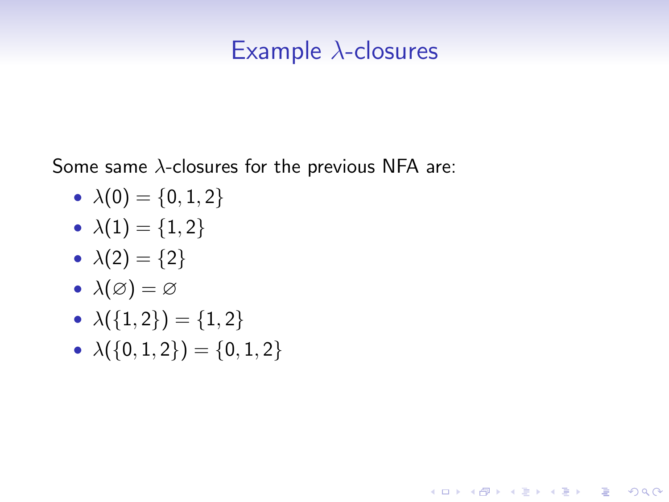### Example  $\lambda$ -closures

**KORK ERKER ADE YOUR** 

Some same  $\lambda$ -closures for the previous NFA are:

- $\lambda(0) = \{0, 1, 2\}$
- $\lambda(1) = \{1, 2\}$
- $\lambda(2) = \{2\}$
- $\lambda(\varnothing) = \varnothing$
- $\lambda({1,2}) = {1,2}$
- $\lambda({0, 1, 2}) = {0, 1, 2}$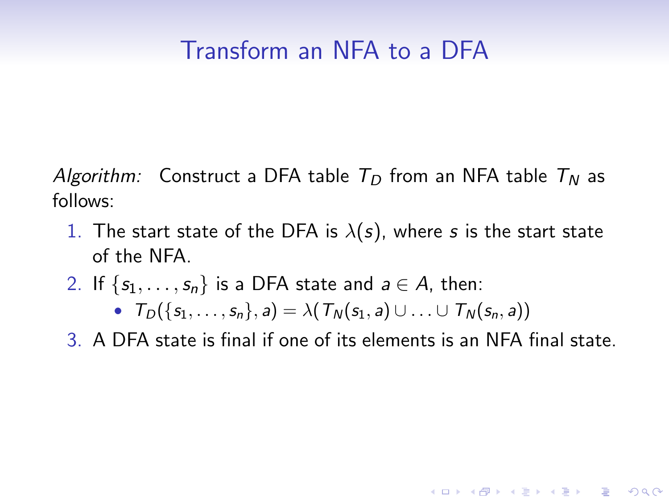### Transform an NFA to a DFA

Algorithm: Construct a DFA table  $T_D$  from an NFA table  $T_N$  as follows:

- 1. The start state of the DFA is  $\lambda(s)$ , where s is the start state of the NFA.
- 2. If  $\{s_1, \ldots, s_n\}$  is a DFA state and  $a \in A$ , then:

•  $T_D({s_1, ..., s_n}, a) = \lambda(T_N(s_1, a) \cup ... \cup T_N(s_n, a))$ 

3. A DFA state is final if one of its elements is an NFA final state.

**KORK ERKER ADE YOUR**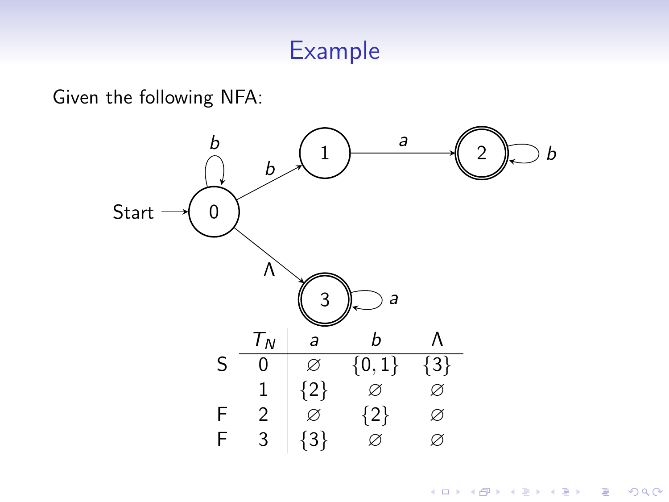### Example

Given the following NFA:



K ロメ K 御 X K 君 X K 君 X 重  $299$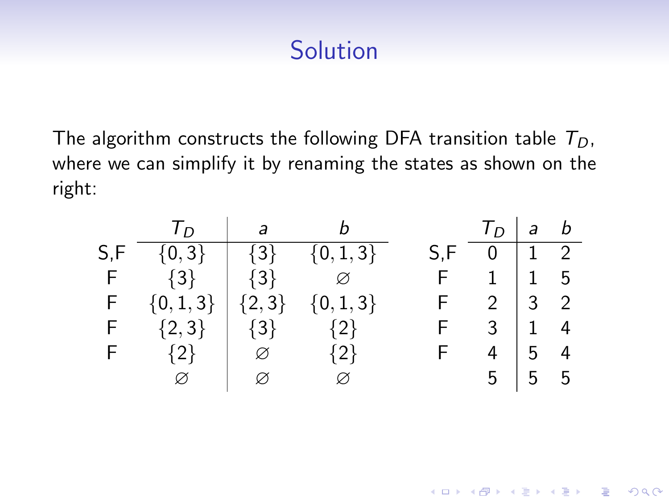## **Solution**

The algorithm constructs the following DFA transition table  $T_D$ , where we can simplify it by renaming the states as shown on the right:

| $T_D$ a b                           |                         |  | $T_D$ a b                 |  |
|-------------------------------------|-------------------------|--|---------------------------|--|
| $S, F \{0,3\}$ $\{3\}$ $\{0,1,3\}$  |                         |  | $S, F \t 0 \t 1 \t 2$     |  |
| F $\{3\}$ $\{3\}$ $\varnothing$     |                         |  | $F \t1 \t1 \t5$           |  |
| F $\{0,1,3\}$ $\{2,3\}$ $\{0,1,3\}$ |                         |  | $F \quad 2 \mid 3 \mid 2$ |  |
| F $\{2,3\}$ $\{3\}$ $\{2\}$         |                         |  | $F \t3 \t1 \t4$           |  |
| F $\{2\}$   $\varnothing$ $\{2\}$   |                         |  | $F$ 4 5 4                 |  |
| Ø                                   | $\boxtimes$ $\boxtimes$ |  | $5 \mid 5 \mid 5$         |  |

K ロ ▶ K @ ▶ K 할 ▶ K 할 ▶ 이 할 → 9 Q @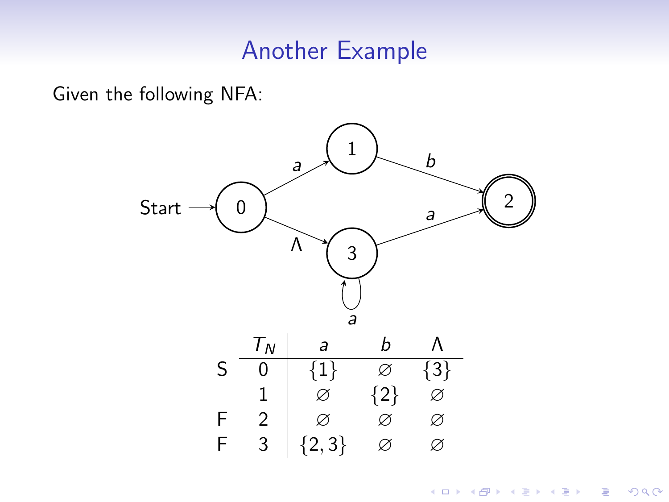### Another Example

Given the following NFA:



K ロメ K 御 X K 君 X K 君 X

重

 $299$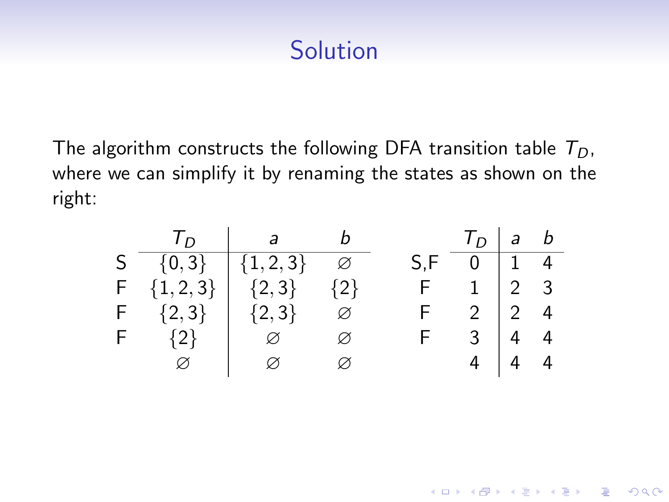# **Solution**

The algorithm constructs the following DFA transition table  $T_D$ , where we can simplify it by renaming the states as shown on the right:

|               | $T_D$ ab $T_D$ ab                           |               |                       |                           |  |
|---------------|---------------------------------------------|---------------|-----------------------|---------------------------|--|
|               | S $\{0,3\}$ $\{1,2,3\}$ $\varnothing$       |               | $S, F \t 0 \t 1 \t 4$ |                           |  |
| $F \{1,2,3\}$ | $\begin{pmatrix} 2,3 \end{pmatrix}$ $\{2\}$ |               |                       | $F \quad 1 \mid 2 \mid 3$ |  |
|               | F $\{2,3\}$ $\{2,3\}$ $\varnothing$         |               |                       | $F \t2 \t2 \t4$           |  |
| $F \{2\}$     | $\Box$                                      | $\varnothing$ | F                     | $3 \mid 4 \mid 4$         |  |
| $\varnothing$ | $\boxtimes$                                 |               | $4 \mid 4 \mid 4$     |                           |  |

K ロ ▶ K @ ▶ K 할 > K 할 > 1 할 > 1 이익어